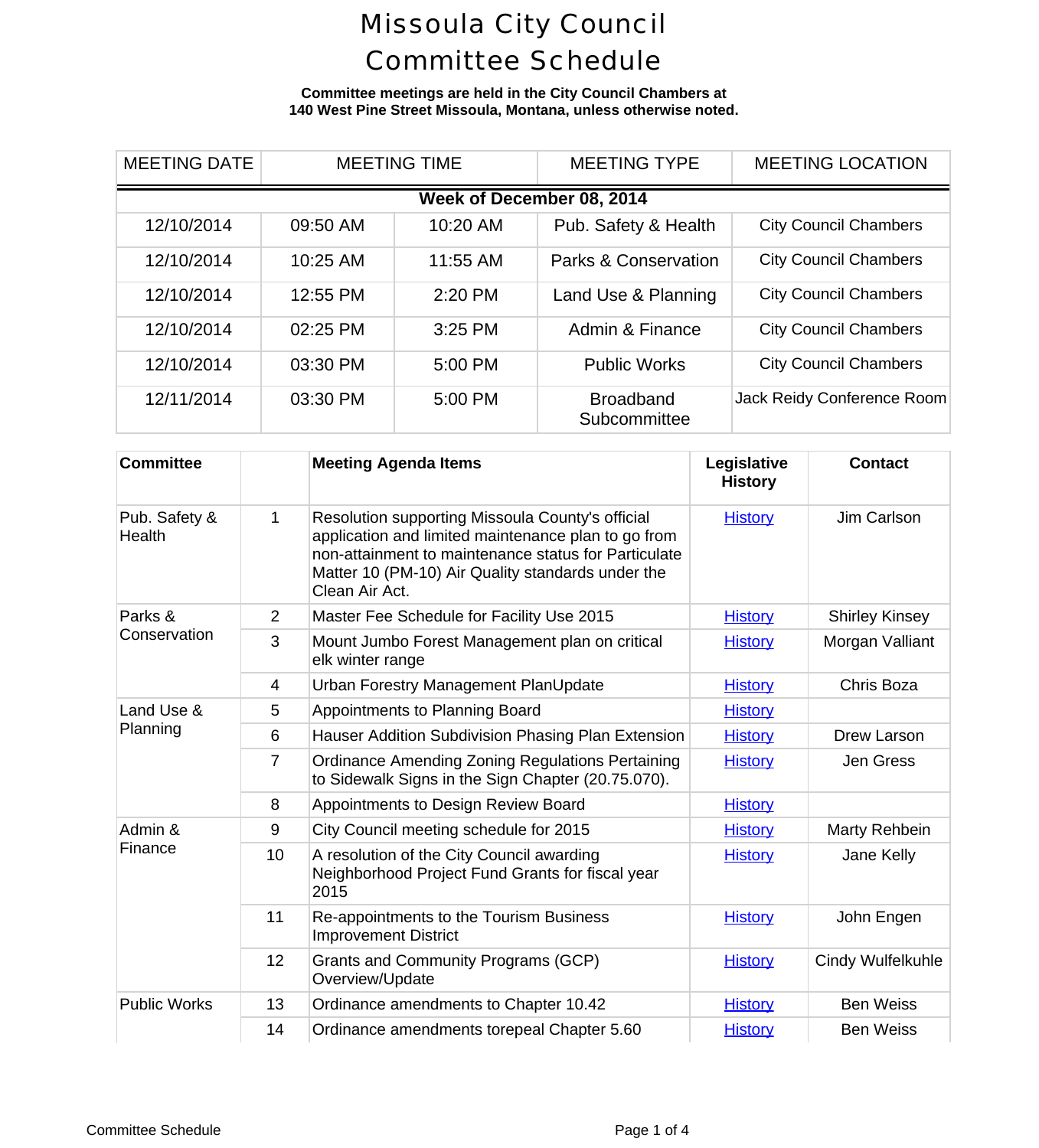**Committee meetings are held in the City Council Chambers at 140 West Pine Street Missoula, Montana, unless otherwise noted.**

| <b>MEETING DATE</b>       | <b>MEETING TIME</b> |          | <b>MEETING TYPE</b>              | <b>MEETING LOCAL</b>     |  |  |  |  |
|---------------------------|---------------------|----------|----------------------------------|--------------------------|--|--|--|--|
| Week of December 08, 2014 |                     |          |                                  |                          |  |  |  |  |
| 12/10/2014                | 09:50 AM            | 10:20 AM | Pub. Safety & Health             | <b>City Council Cham</b> |  |  |  |  |
| 12/10/2014                | 10:25 AM            | 11:55 AM | <b>Parks &amp; Conservation</b>  | <b>City Council Cham</b> |  |  |  |  |
| 12/10/2014                | 12:55 PM            | 2:20 PM  | Land Use & Planning              | <b>City Council Cham</b> |  |  |  |  |
| 12/10/2014                | 02:25 PM            | 3:25 PM  | Admin & Finance                  | <b>City Council Cham</b> |  |  |  |  |
| 12/10/2014                | 03:30 PM            | 5:00 PM  | <b>Public Works</b>              | <b>City Council Cham</b> |  |  |  |  |
| 12/11/2014                | 03:30 PM            | 5:00 PM  | <b>Broadband</b><br>Subcommittee | Jack Reidy Conferend     |  |  |  |  |

| <b>Committee</b>        |                | <b>Meeting Agenda Items</b>                                                                                                                                                                                                            | Legislative<br><b>History</b> | Cont             |
|-------------------------|----------------|----------------------------------------------------------------------------------------------------------------------------------------------------------------------------------------------------------------------------------------|-------------------------------|------------------|
| Pub. Safety &<br>Health | 1              | Resolution supporting Missoula County's official<br>application and limited maintenance plan to go from<br>non-attainment to maintenance status for Particulate<br>Matter 10 (PM-10) Air Quality standards under the<br>Clean Air Act. | <b>History</b>                | Jim Ca           |
| Parks &                 | $\overline{2}$ | Master Fee Schedule for Facility Use 2015                                                                                                                                                                                              | <b>History</b>                | Shirley <b>K</b> |
| Conservation            | 3              | Mount Jumbo Forest Management plan on critical<br>elk winter range                                                                                                                                                                     | <b>History</b>                | Morgan \         |
|                         | $\overline{4}$ | Urban Forestry Management PlanUpdate                                                                                                                                                                                                   | <b>History</b>                | Chris B          |
| Land Use &              | 5              | Appointments to Planning Board                                                                                                                                                                                                         | <b>History</b>                |                  |
| Planning                | 6              | Hauser Addition Subdivision Phasing Plan Extension                                                                                                                                                                                     | <b>History</b>                | Drew La          |
|                         | $\overline{7}$ | <b>Ordinance Amending Zoning Regulations Pertaining</b><br>to Sidewalk Signs in the Sign Chapter (20.75.070).                                                                                                                          | <b>History</b>                | Jen G            |
|                         | 8              | Appointments to Design Review Board                                                                                                                                                                                                    | <b>History</b>                |                  |
| Admin &<br>Finance      | 9              | City Council meeting schedule for 2015                                                                                                                                                                                                 | <b>History</b>                | Marty Re         |
|                         | 10             | A resolution of the City Council awarding<br>Neighborhood Project Fund Grants for fiscal year<br>2015                                                                                                                                  | <b>History</b>                | Jane K           |
|                         | 11             | Re-appointments to the Tourism Business<br><b>Improvement District</b>                                                                                                                                                                 | <b>History</b>                | John E           |
|                         | 12             | Grants and Community Programs (GCP)<br>Overview/Update                                                                                                                                                                                 | <b>History</b>                | Cindy Wul        |
| <b>Public Works</b>     | 13             | Ordinance amendments to Chapter 10.42                                                                                                                                                                                                  | <b>History</b>                | Ben W            |
|                         | 14             | Ordinance amendments torepeal Chapter 5.60                                                                                                                                                                                             | <b>History</b>                | Ben W            |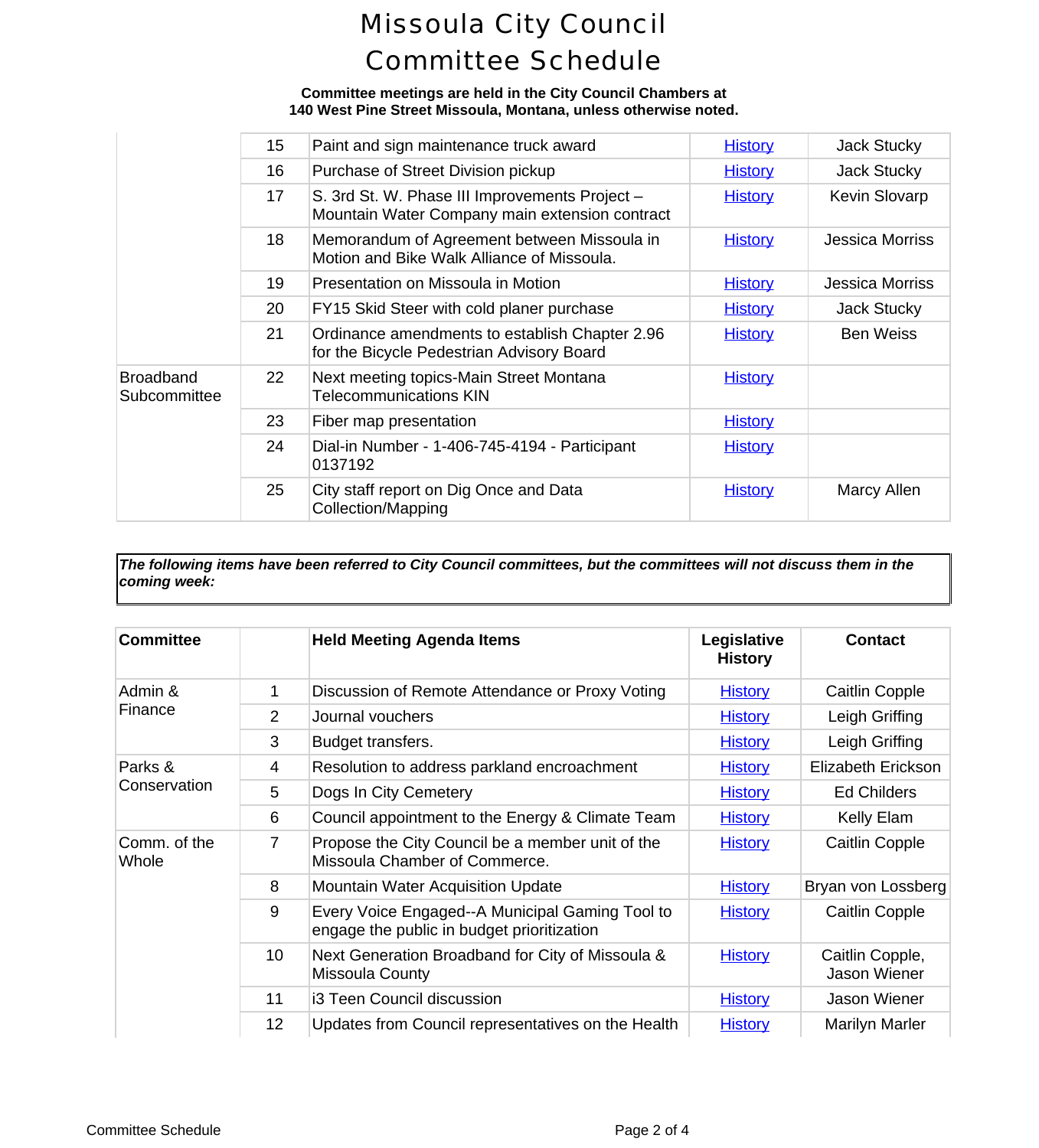**Committee meetings are held in the City Council Chambers at 140 West Pine Street Missoula, Montana, unless otherwise noted.**

|                                  | 15 <sub>2</sub> | Paint and sign maintenance truck award                                                           | <b>History</b> | Jack St   |
|----------------------------------|-----------------|--------------------------------------------------------------------------------------------------|----------------|-----------|
|                                  | 16              | Purchase of Street Division pickup                                                               | <b>History</b> | Jack St   |
|                                  | 17              | S. 3rd St. W. Phase III Improvements Project -<br>Mountain Water Company main extension contract | <b>History</b> | Kevin SI  |
|                                  | 18              | Memorandum of Agreement between Missoula in<br>Motion and Bike Walk Alliance of Missoula.        | <b>History</b> | Jessica N |
|                                  | 19              | Presentation on Missoula in Motion                                                               | <b>History</b> | Jessica N |
|                                  | 20              | FY15 Skid Steer with cold planer purchase                                                        | <b>History</b> | Jack St   |
|                                  | 21              | Ordinance amendments to establish Chapter 2.96<br>for the Bicycle Pedestrian Advisory Board      | <b>History</b> | Ben W     |
| <b>Broadband</b><br>Subcommittee | 22              | Next meeting topics-Main Street Montana<br><b>Telecommunications KIN</b>                         | <b>History</b> |           |
|                                  | 23              | Fiber map presentation                                                                           | <b>History</b> |           |
|                                  | 24              | Dial-in Number - 1-406-745-4194 - Participant<br>0137192                                         | <b>History</b> |           |
|                                  | 25              | City staff report on Dig Once and Data<br><b>Collection/Mapping</b>                              | <b>History</b> | Marcy     |
|                                  |                 |                                                                                                  |                |           |

*The following items have been referred to City Council committees, but the committees will not discuss them in the coming week:*

| <b>Committee</b>        |                | <b>Held Meeting Agenda Items</b>                                                              | Legislative<br><b>History</b> | Conta                 |
|-------------------------|----------------|-----------------------------------------------------------------------------------------------|-------------------------------|-----------------------|
| Admin &<br>Finance      | 1              | Discussion of Remote Attendance or Proxy Voting                                               | <b>History</b>                | Caitlin C             |
|                         | $\overline{2}$ | Journal vouchers                                                                              | <b>History</b>                | Leigh Gr              |
|                         | 3              | Budget transfers.                                                                             | <b>History</b>                | Leigh Gr              |
| Parks &<br>Conservation | 4              | Resolution to address parkland encroachment                                                   | <b>History</b>                | Elizabeth E           |
|                         | 5              | Dogs In City Cemetery                                                                         | <b>History</b>                | Ed Chile              |
|                         | 6              | Council appointment to the Energy & Climate Team                                              | <b>History</b>                | Kelly E               |
| Comm. of the<br>Whole   | 7              | Propose the City Council be a member unit of the<br>Missoula Chamber of Commerce.             | <b>History</b>                | Caitlin C             |
|                         | 8              | <b>Mountain Water Acquisition Update</b>                                                      | <b>History</b>                | Bryan von L           |
|                         | 9              | Every Voice Engaged--A Municipal Gaming Tool to<br>engage the public in budget prioritization | <b>History</b>                | Caitlin C             |
|                         | 10             | Next Generation Broadband for City of Missoula &<br>Missoula County                           | <b>History</b>                | Caitlin Co<br>Jason W |
|                         | 11             | i3 Teen Council discussion                                                                    | <b>History</b>                | Jason W               |
|                         | 12             | Updates from Council representatives on the Health                                            | <b>History</b>                | Marilyn N             |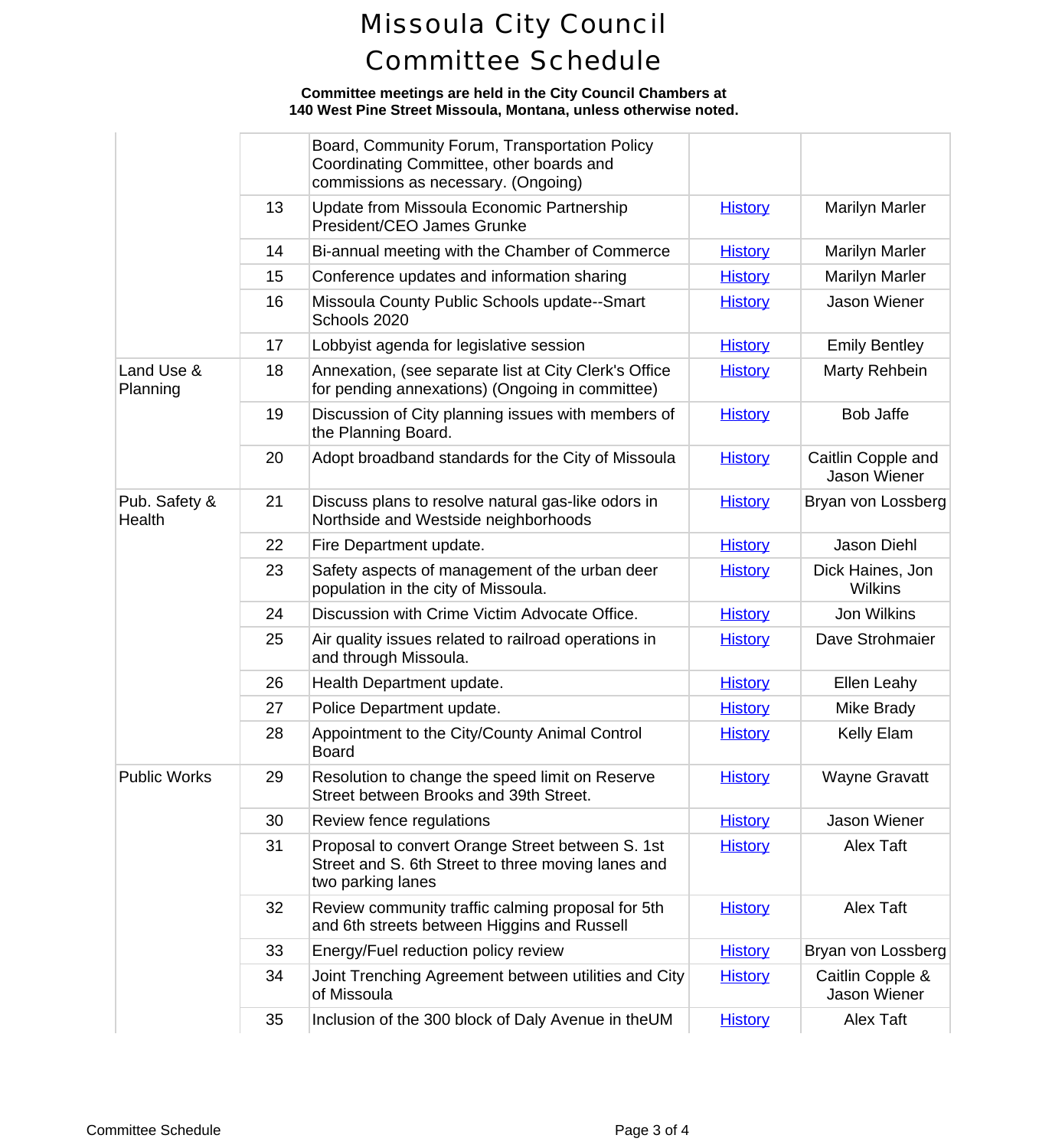### **Committee meetings are held in the City Council Chambers at 140 West Pine Street Missoula, Montana, unless otherwise noted.**

|                         |    | Board, Community Forum, Transportation Policy<br>Coordinating Committee, other boards and<br>commissions as necessary. (Ongoing) |                |                             |
|-------------------------|----|----------------------------------------------------------------------------------------------------------------------------------|----------------|-----------------------------|
|                         | 13 | Update from Missoula Economic Partnership<br>President/CEO James Grunke                                                          | <b>History</b> | Marilyn N                   |
|                         | 14 | Bi-annual meeting with the Chamber of Commerce                                                                                   | <b>History</b> | Marilyn N                   |
|                         | 15 | Conference updates and information sharing                                                                                       | <b>History</b> | Marilyn N                   |
|                         | 16 | Missoula County Public Schools update--Smart<br>Schools 2020                                                                     | <b>History</b> | Jason W                     |
|                         | 17 | Lobbyist agenda for legislative session                                                                                          | <b>History</b> | <b>Emily Be</b>             |
| Land Use &<br>Planning  | 18 | Annexation, (see separate list at City Clerk's Office<br>for pending annexations) (Ongoing in committee)                         | <b>History</b> | <b>Marty Re</b>             |
|                         | 19 | Discussion of City planning issues with members of<br>the Planning Board.                                                        | <b>History</b> | Bob Ja                      |
|                         | 20 | Adopt broadband standards for the City of Missoula                                                                               | <b>History</b> | Caitlin Cop<br>Jason W      |
| Pub. Safety &<br>Health | 21 | Discuss plans to resolve natural gas-like odors in<br>Northside and Westside neighborhoods                                       | <b>History</b> | Bryan von L                 |
|                         | 22 | Fire Department update.                                                                                                          | <b>History</b> | Jason D                     |
|                         | 23 | Safety aspects of management of the urban deer<br>population in the city of Missoula.                                            | <b>History</b> | <b>Dick Haine</b><br>Wilkir |
|                         | 24 | Discussion with Crime Victim Advocate Office.                                                                                    | <b>History</b> | Jon Wil                     |
|                         | 25 | Air quality issues related to railroad operations in<br>and through Missoula.                                                    | <b>History</b> | Dave Stro                   |
|                         | 26 | Health Department update.                                                                                                        | <b>History</b> | Ellen Le                    |
|                         | 27 | Police Department update.                                                                                                        | <b>History</b> | Mike Br                     |
|                         | 28 | Appointment to the City/County Animal Control<br><b>Board</b>                                                                    | <b>History</b> | Kelly E                     |
| Public Works            | 29 | Resolution to change the speed limit on Reserve<br>Street between Brooks and 39th Street.                                        | <b>History</b> | Wayne G                     |
|                         | 30 | Review fence regulations                                                                                                         | <b>History</b> | Jason W                     |
|                         | 31 | Proposal to convert Orange Street between S. 1st<br>Street and S. 6th Street to three moving lanes and<br>two parking lanes      | <b>History</b> | Alex T                      |
|                         | 32 | Review community traffic calming proposal for 5th<br>and 6th streets between Higgins and Russell                                 | <b>History</b> | Alex T                      |
|                         | 33 | Energy/Fuel reduction policy review                                                                                              | <b>History</b> | Bryan von L                 |
|                         | 34 | Joint Trenching Agreement between utilities and City<br>of Missoula                                                              | <b>History</b> | Caitlin Co<br>Jason W       |
|                         | 35 | Inclusion of the 300 block of Daly Avenue in theUM                                                                               | <b>History</b> | Alex T                      |